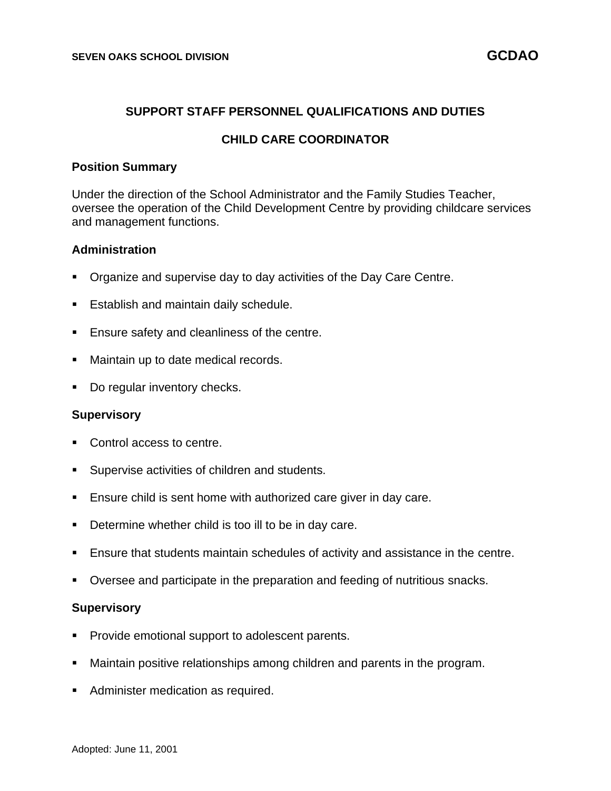### **SUPPORT STAFF PERSONNEL QUALIFICATIONS AND DUTIES**

# **CHILD CARE COORDINATOR**

#### **Position Summary**

Under the direction of the School Administrator and the Family Studies Teacher, oversee the operation of the Child Development Centre by providing childcare services and management functions.

### **Administration**

- Organize and supervise day to day activities of the Day Care Centre.
- **Establish and maintain daily schedule.**
- Ensure safety and cleanliness of the centre.
- Maintain up to date medical records.
- Do regular inventory checks.

#### **Supervisory**

- Control access to centre.
- Supervise activities of children and students.
- Ensure child is sent home with authorized care giver in day care.
- Determine whether child is too ill to be in day care.
- Ensure that students maintain schedules of activity and assistance in the centre.
- Oversee and participate in the preparation and feeding of nutritious snacks.

#### **Supervisory**

- Provide emotional support to adolescent parents.
- Maintain positive relationships among children and parents in the program.
- Administer medication as required.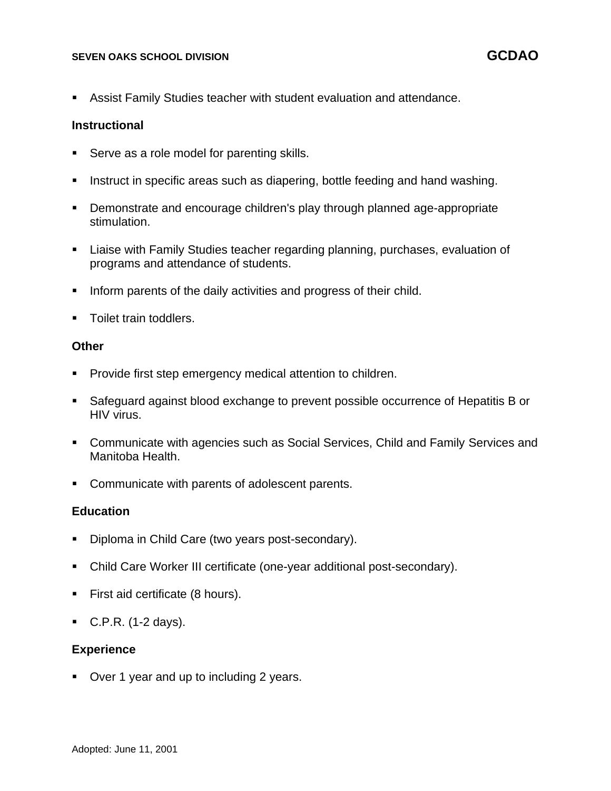#### **SEVEN OAKS SCHOOL DIVISION GCDAO**

Assist Family Studies teacher with student evaluation and attendance.

## **Instructional**

- Serve as a role model for parenting skills.
- **EXTE:** Instruct in specific areas such as diapering, bottle feeding and hand washing.
- Demonstrate and encourage children's play through planned age-appropriate stimulation.
- **EXTE:** Liaise with Family Studies teacher regarding planning, purchases, evaluation of programs and attendance of students.
- **.** Inform parents of the daily activities and progress of their child.
- Toilet train toddlers.

### **Other**

- **Provide first step emergency medical attention to children.**
- Safeguard against blood exchange to prevent possible occurrence of Hepatitis B or HIV virus.
- Communicate with agencies such as Social Services, Child and Family Services and Manitoba Health.
- **EXECOMMUNICATE With parents of adolescent parents.**

## **Education**

- Diploma in Child Care (two years post-secondary).
- Child Care Worker III certificate (one-year additional post-secondary).
- **Example 1** First aid certificate (8 hours).
- $\blacksquare$  C.P.R. (1-2 days).

### **Experience**

■ Over 1 year and up to including 2 years.